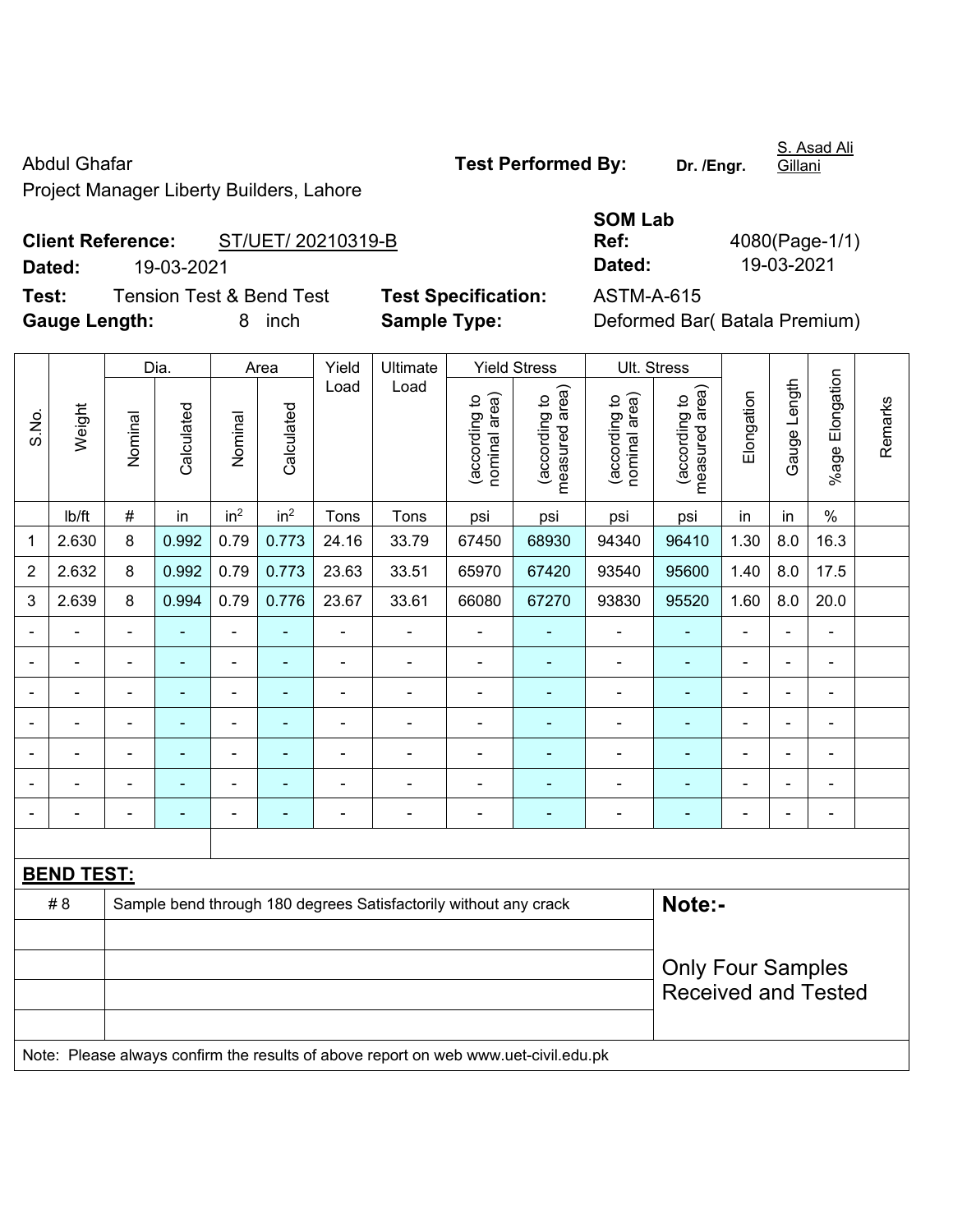Abdul Ghafar **Test Performed By:** Dr. /Engr.

Project Manager Liberty Builders, Lahore

## **Client Reference:** ST/UET/ 20210319-B **Dated:** 19-03-2021 **Dated:** 19-03-2021

**Test:** Tension Test & Bend Test **Test Specification:** ASTM-A-615 **Gauge Length:** 8 inch **Sample Type:** Deformed Bar( Batala Premium)

| <b>Test Specification:</b> |  |
|----------------------------|--|
| Comple Tuper               |  |

|  |  | FOL LAINNING DÀ' |  |  |
|--|--|------------------|--|--|
|  |  |                  |  |  |

**SOM Lab Ref:** 4080(Page-1/1)

|                |                                                                                     |                          | Dia.           |                 | Area            | Yield | Ultimate                                                         |                                | <b>Yield Stress</b>             |                                | Ult. Stress                                            |                          |                |                 |         |
|----------------|-------------------------------------------------------------------------------------|--------------------------|----------------|-----------------|-----------------|-------|------------------------------------------------------------------|--------------------------------|---------------------------------|--------------------------------|--------------------------------------------------------|--------------------------|----------------|-----------------|---------|
| S.No.          | Weight                                                                              | Nominal                  | Calculated     | Nominal         | Calculated      | Load  | Load                                                             | (according to<br>nominal area) | (according to<br>measured area) | (according to<br>nominal area) | measured area)<br>(according to                        | Elongation               | Gauge Length   | %age Elongation | Remarks |
|                | Ib/ft                                                                               | $\#$                     | in             | in <sup>2</sup> | in <sup>2</sup> | Tons  | Tons                                                             | psi                            | psi                             | psi                            | psi                                                    | in                       | in             | $\%$            |         |
| 1              | 2.630                                                                               | 8                        | 0.992          | 0.79            | 0.773           | 24.16 | 33.79                                                            | 67450                          | 68930                           | 94340                          | 96410                                                  | 1.30                     | 8.0            | 16.3            |         |
| $\overline{2}$ | 2.632                                                                               | 8                        | 0.992          | 0.79            | 0.773           | 23.63 | 33.51                                                            | 65970                          | 67420                           | 93540                          | 95600                                                  | 1.40                     | 8.0            | 17.5            |         |
| 3              | 2.639                                                                               | 8                        | 0.994          | 0.79            | 0.776           | 23.67 | 33.61                                                            | 66080                          | 67270                           | 93830                          | 95520                                                  | 1.60                     | 8.0            | 20.0            |         |
|                |                                                                                     | $\blacksquare$           | ä,             | ÷,              | $\blacksquare$  | ÷,    | $\blacksquare$                                                   | $\blacksquare$                 |                                 | $\overline{\phantom{a}}$       | $\blacksquare$                                         | $\overline{\phantom{a}}$ | $\blacksquare$ | $\blacksquare$  |         |
| ۰              | $\blacksquare$                                                                      | $\blacksquare$           | $\blacksquare$ | $\blacksquare$  | $\blacksquare$  | ÷,    | $\frac{1}{2}$                                                    | $\blacksquare$                 | $\blacksquare$                  | $\blacksquare$                 | $\blacksquare$                                         | $\blacksquare$           | $\blacksquare$ | $\blacksquare$  |         |
|                |                                                                                     | $\blacksquare$           | $\blacksquare$ | $\frac{1}{2}$   | $\blacksquare$  | ÷,    | ÷,                                                               | $\blacksquare$                 | $\overline{\phantom{a}}$        | $\blacksquare$                 | $\blacksquare$                                         | ÷                        | ÷,             | ÷,              |         |
|                |                                                                                     | L,                       | ä,             | $\blacksquare$  | $\blacksquare$  | Ē,    | L.                                                               | $\blacksquare$                 | $\blacksquare$                  | $\overline{a}$                 | $\blacksquare$                                         |                          | ÷              | $\blacksquare$  |         |
|                |                                                                                     |                          |                | $\blacksquare$  |                 | ÷     | $\blacksquare$                                                   |                                |                                 | ÷                              | $\blacksquare$                                         |                          | ÷              | $\blacksquare$  |         |
|                |                                                                                     |                          | ۰              | $\blacksquare$  |                 |       | $\blacksquare$                                                   |                                |                                 | $\blacksquare$                 | $\blacksquare$                                         | ä,                       | $\overline{a}$ | $\blacksquare$  |         |
|                |                                                                                     | $\overline{\phantom{0}}$ | $\blacksquare$ | $\blacksquare$  | $\blacksquare$  | ÷     | $\frac{1}{2}$                                                    | $\blacksquare$                 | $\blacksquare$                  | $\blacksquare$                 | $\blacksquare$                                         | $\blacksquare$           | $\frac{1}{2}$  | $\blacksquare$  |         |
|                |                                                                                     |                          |                |                 |                 |       |                                                                  |                                |                                 |                                |                                                        |                          |                |                 |         |
|                | <b>BEND TEST:</b>                                                                   |                          |                |                 |                 |       |                                                                  |                                |                                 |                                |                                                        |                          |                |                 |         |
|                | #8                                                                                  |                          |                |                 |                 |       | Sample bend through 180 degrees Satisfactorily without any crack |                                |                                 |                                | Note:-                                                 |                          |                |                 |         |
|                |                                                                                     |                          |                |                 |                 |       |                                                                  |                                |                                 |                                |                                                        |                          |                |                 |         |
|                |                                                                                     |                          |                |                 |                 |       |                                                                  |                                |                                 |                                | <b>Only Four Samples</b><br><b>Received and Tested</b> |                          |                |                 |         |
|                | Note: Please always confirm the results of above report on web www.uet-civil.edu.pk |                          |                |                 |                 |       |                                                                  |                                |                                 |                                |                                                        |                          |                |                 |         |

S. Asad Ali Gillani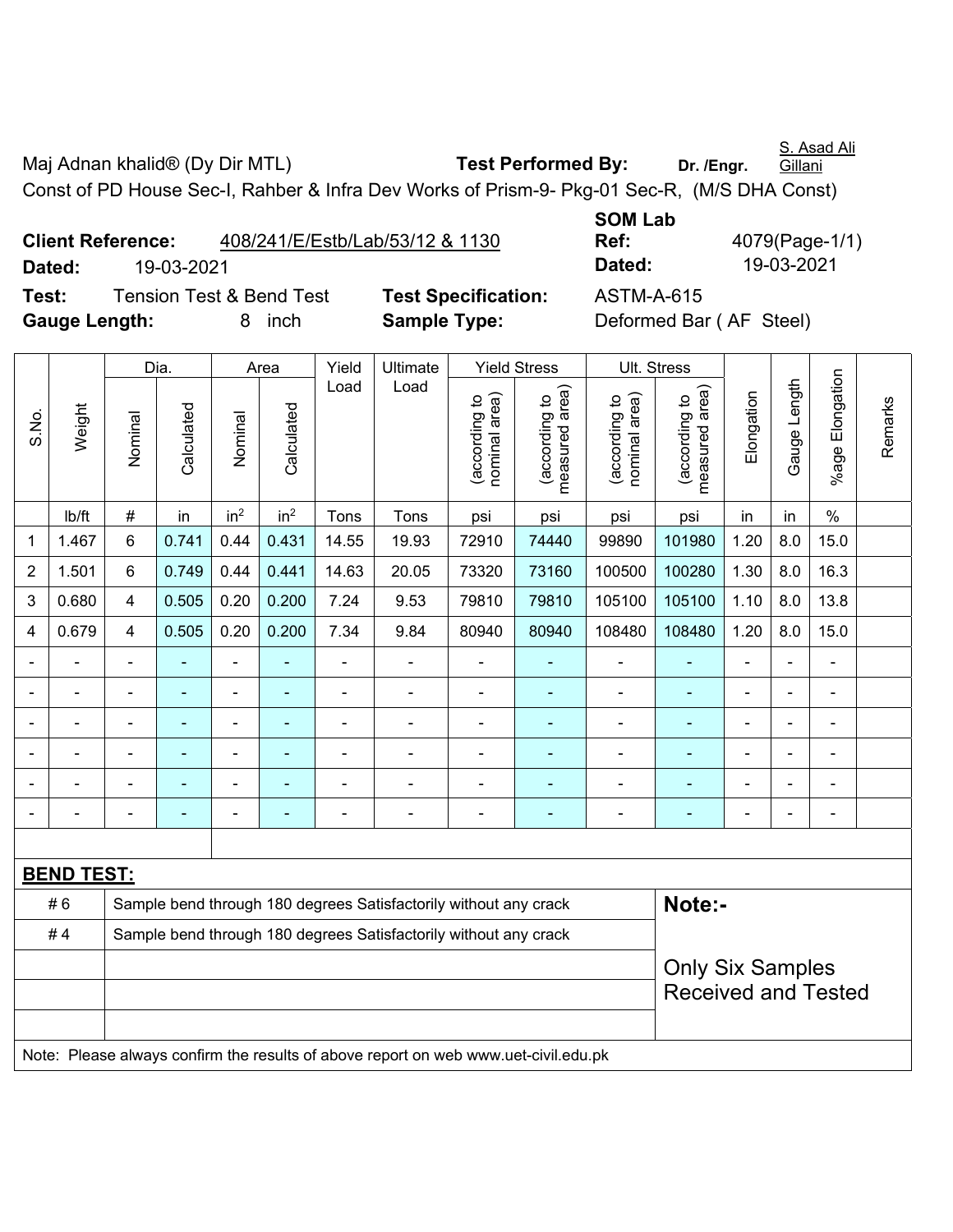S. Asad Ali

Maj Adnan khalid<sup>®</sup> (Dy Dir MTL) **Test Performed By:** Dr. /Engr. **Gillani** Const of PD House Sec-I, Rahber & Infra Dev Works of Prism-9- Pkg-01 Sec-R, (M/S DHA Const)

|               | <b>Client Reference:</b> |                                     | 408/241/E/Estb/Lab/53/12 & 1130 |
|---------------|--------------------------|-------------------------------------|---------------------------------|
| Dated:        | 19-03-2021               |                                     |                                 |
| Test:         |                          | <b>Tension Test &amp; Bend Test</b> | <b>Test Specification</b>       |
| Gauge Length: |                          | 8 inch                              | <b>Sample Type:</b>             |

**SOM Lab Ref:** 4079(Page-1/1) **Dated:** 19-03-2021 **Dated:** 19-03-2021 **Test:** ASTM-A-615 **Deformed Bar (AF Steel)** 

|                          |                              |                                                                  | Dia.       |                 | Area            | Yield | <b>Ultimate</b>                                                                     |                                | <b>Yield Stress</b>             | Ult. Stress                    |                                 |                |                |                 |         |
|--------------------------|------------------------------|------------------------------------------------------------------|------------|-----------------|-----------------|-------|-------------------------------------------------------------------------------------|--------------------------------|---------------------------------|--------------------------------|---------------------------------|----------------|----------------|-----------------|---------|
| S.No.                    | Weight                       | Nominal                                                          | Calculated | Nominal         | Calculated      | Load  | Load                                                                                | nominal area)<br>(according to | (according to<br>measured area) | nominal area)<br>(according to | measured area)<br>(according to | Elongation     | Gauge Length   | %age Elongation | Remarks |
|                          | Ib/ft                        | $\#$                                                             | in         | in <sup>2</sup> | in <sup>2</sup> | Tons  | Tons                                                                                | psi                            | psi                             | psi                            | psi                             | in             | in             | $\frac{0}{0}$   |         |
| $\mathbf 1$              | 1.467                        | 6                                                                | 0.741      | 0.44            | 0.431           | 14.55 | 19.93                                                                               | 72910                          | 74440                           | 99890                          | 101980                          | 1.20           | 8.0            | 15.0            |         |
| $\boldsymbol{2}$         | 1.501                        | 6                                                                | 0.749      | 0.44            | 0.441           | 14.63 | 20.05                                                                               | 73320                          | 73160                           | 100500                         | 100280                          | 1.30           | 8.0            | 16.3            |         |
| $\mathbf 3$              | 0.680                        | 4                                                                | 0.505      | 0.20            | 0.200           | 7.24  | 9.53                                                                                | 79810                          | 79810                           | 105100                         | 105100                          | 1.10           | 8.0            | 13.8            |         |
| $\overline{4}$           | 0.679                        | 4                                                                | 0.505      | 0.20            | 0.200           | 7.34  | 9.84                                                                                | 80940                          | 80940                           | 108480                         | 108480                          | 1.20           | 8.0            | 15.0            |         |
| $\overline{\phantom{0}}$ | ä,                           | $\blacksquare$                                                   | ۰          | $\blacksquare$  | $\blacksquare$  | ä,    | $\overline{\phantom{a}}$                                                            | $\blacksquare$                 | $\blacksquare$                  | $\blacksquare$                 | $\blacksquare$                  | $\blacksquare$ |                | $\blacksquare$  |         |
| $\overline{\phantom{a}}$ | $\qquad \qquad \blacksquare$ | $\blacksquare$                                                   | Ξ          | $\blacksquare$  | ÷               | ÷,    | $\overline{\phantom{a}}$                                                            | ÷                              | $\blacksquare$                  | ÷                              | $\blacksquare$                  | $\blacksquare$ | $\blacksquare$ | $\blacksquare$  |         |
| $\overline{\phantom{a}}$ | $\blacksquare$               | $\blacksquare$                                                   | ä,         | ä,              | $\blacksquare$  | ÷,    | $\blacksquare$                                                                      | $\blacksquare$                 | $\blacksquare$                  | ÷                              | $\blacksquare$                  | ä,             |                | ä,              |         |
| $\blacksquare$           |                              | $\blacksquare$                                                   | ÷          | $\blacksquare$  | $\blacksquare$  | ÷     | $\blacksquare$                                                                      | ÷                              | $\blacksquare$                  | ÷                              | $\blacksquare$                  |                |                | $\blacksquare$  |         |
|                          |                              |                                                                  | ä,         |                 | Ē,              |       | ä,                                                                                  | $\overline{\phantom{0}}$       | $\blacksquare$                  | $\blacksquare$                 | ä,                              | ÷              |                | $\blacksquare$  |         |
|                          |                              | ä,                                                               |            |                 | Ē.              | ۰     | ä,                                                                                  | $\blacksquare$                 | ä,                              | ä,                             | L,                              |                |                | $\blacksquare$  |         |
|                          |                              |                                                                  |            |                 |                 |       |                                                                                     |                                |                                 |                                |                                 |                |                |                 |         |
|                          | <u>BEND TEST:</u>            |                                                                  |            |                 |                 |       |                                                                                     |                                |                                 |                                |                                 |                |                |                 |         |
|                          | #6                           |                                                                  |            |                 |                 |       | Sample bend through 180 degrees Satisfactorily without any crack                    |                                |                                 |                                | Note:-                          |                |                |                 |         |
|                          | #4                           | Sample bend through 180 degrees Satisfactorily without any crack |            |                 |                 |       |                                                                                     |                                |                                 |                                |                                 |                |                |                 |         |
|                          |                              |                                                                  |            |                 |                 |       |                                                                                     |                                |                                 |                                | <b>Only Six Samples</b>         |                |                |                 |         |
|                          |                              |                                                                  |            |                 |                 |       |                                                                                     |                                |                                 |                                | <b>Received and Tested</b>      |                |                |                 |         |
|                          |                              |                                                                  |            |                 |                 |       |                                                                                     |                                |                                 |                                |                                 |                |                |                 |         |
|                          |                              |                                                                  |            |                 |                 |       | Note: Please always confirm the results of above report on web www.uet-civil.edu.pk |                                |                                 |                                |                                 |                |                |                 |         |
|                          |                              |                                                                  |            |                 |                 |       |                                                                                     |                                |                                 |                                |                                 |                |                |                 |         |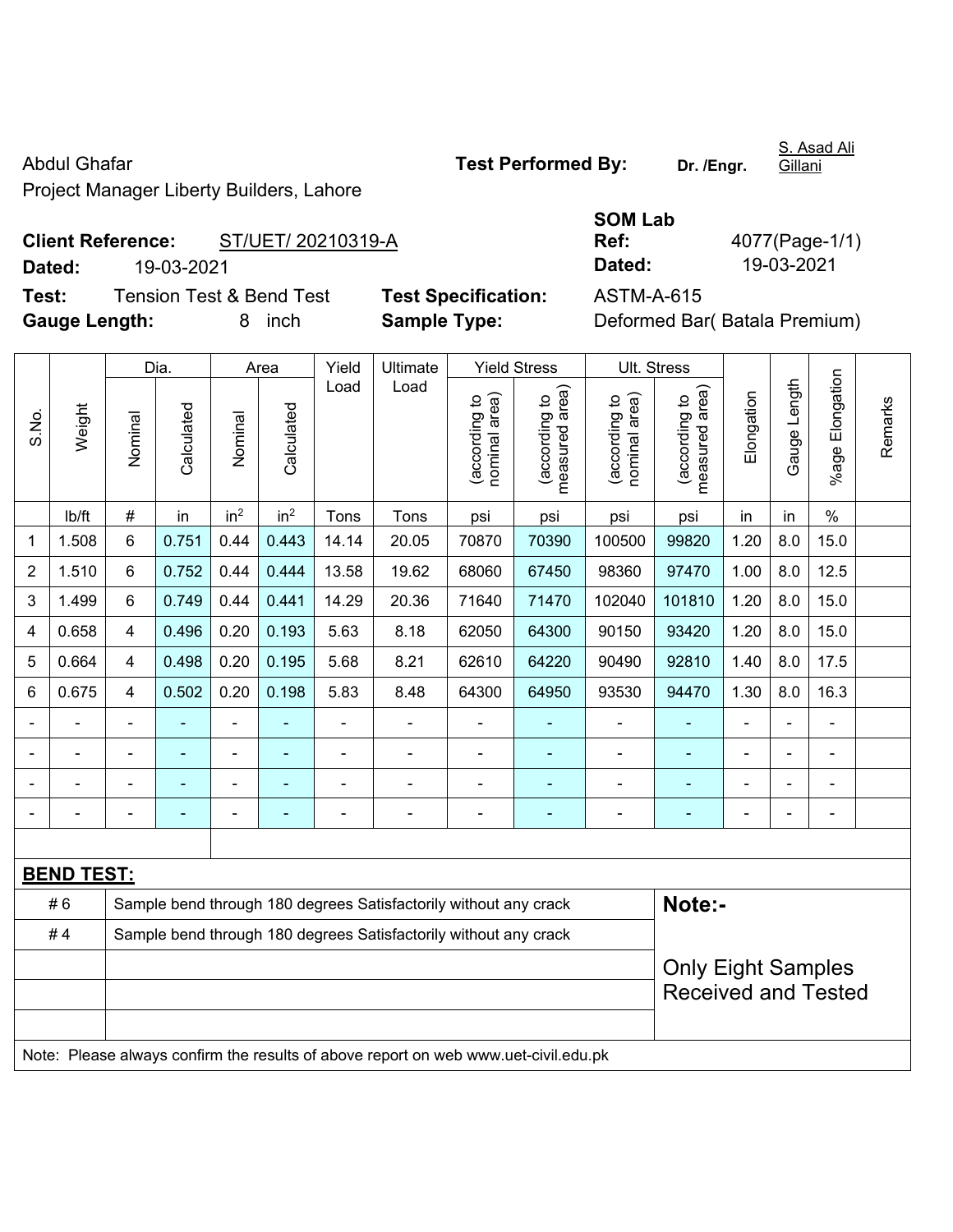Project Manager Liberty Builders, Lahore

## **Client Reference:** ST/UET/ 20210319-A **Dated:** 19-03-2021 **Dated:** 19-03-2021

**Test:** Tension Test & Bend Test **Test Specification:** ASTM-A-615 **Gauge Length:** 8 inch **Sample Type:** Deformed Bar( Batala Premium)

| Ref:       | 40 |
|------------|----|
| Dated:     |    |
| ACTM A GAE |    |

**SOM Lab** 

**Ref:** 4077(Page-1/1)

|                |                   |                                                                            | Dia.           |                          | Area                     | Yield          | Ultimate                                                                            |                                | <b>Yield Stress</b>                         | Ult. Stress                    |                                 |                          |                |                          |         |
|----------------|-------------------|----------------------------------------------------------------------------|----------------|--------------------------|--------------------------|----------------|-------------------------------------------------------------------------------------|--------------------------------|---------------------------------------------|--------------------------------|---------------------------------|--------------------------|----------------|--------------------------|---------|
| S.No.          | Weight            | Nominal                                                                    | Calculated     | Nominal                  | Calculated               | Load           | Load                                                                                | nominal area)<br>(according to | (according to<br>measured area)<br>measured | nominal area)<br>(according to | (according to<br>measured area) | Elongation               | Gauge Length   | Elongation<br>$%$ age    | Remarks |
|                | Ib/ft             | $\#$                                                                       | in             | in <sup>2</sup>          | in <sup>2</sup>          | Tons           | Tons                                                                                | psi                            | psi                                         | psi                            | psi                             | in                       | in             | $\%$                     |         |
| 1              | 1.508             | 6                                                                          | 0.751          | 0.44                     | 0.443                    | 14.14          | 20.05                                                                               | 70870                          | 70390                                       | 100500                         | 99820                           | 1.20                     | 8.0            | 15.0                     |         |
| 2              | 1.510             | 6                                                                          | 0.752          | 0.44                     | 0.444                    | 13.58          | 19.62                                                                               | 68060                          | 67450                                       | 98360                          | 97470                           | 1.00                     | 8.0            | 12.5                     |         |
| 3              | 1.499             | 6                                                                          | 0.749          | 0.44                     | 0.441                    | 14.29          | 20.36                                                                               | 71640                          | 71470                                       | 102040                         | 101810                          | 1.20                     | 8.0            | 15.0                     |         |
| 4              | 0.658             | $\overline{4}$                                                             | 0.496          | 0.20                     | 0.193                    | 5.63           | 8.18                                                                                | 62050                          | 64300                                       | 90150                          | 93420                           | 1.20                     | 8.0            | 15.0                     |         |
| 5              | 0.664             | $\overline{4}$                                                             | 0.498          | 0.20                     | 0.195                    | 5.68           | 8.21                                                                                | 62610                          | 64220                                       | 90490                          | 92810                           | 1.40                     | 8.0            | 17.5                     |         |
| 6              | 0.675             | $\overline{4}$                                                             | 0.502          | 0.20                     | 0.198                    | 5.83           | 8.48                                                                                | 64300                          | 64950                                       | 93530                          | 94470                           | 1.30                     | 8.0            | 16.3                     |         |
|                |                   |                                                                            |                |                          |                          |                | ÷                                                                                   |                                |                                             |                                |                                 |                          |                |                          |         |
| $\overline{a}$ |                   | $\blacksquare$                                                             | $\blacksquare$ | $\overline{\phantom{a}}$ |                          | $\blacksquare$ | ÷                                                                                   | $\blacksquare$                 | $\overline{\phantom{a}}$                    | $\blacksquare$                 | ÷                               | $\blacksquare$           | $\blacksquare$ | $\blacksquare$           |         |
|                |                   |                                                                            | $\blacksquare$ | ÷                        |                          |                | $\blacksquare$                                                                      | $\blacksquare$                 |                                             | $\blacksquare$                 | ۳                               |                          |                | $\blacksquare$           |         |
|                |                   | $\blacksquare$                                                             | $\blacksquare$ | ÷                        | $\overline{\phantom{a}}$ | $\blacksquare$ | ÷                                                                                   | $\blacksquare$                 | $\overline{\phantom{a}}$                    | $\overline{\phantom{a}}$       | ٠                               | $\overline{\phantom{0}}$ | ٠              | $\overline{\phantom{a}}$ |         |
|                |                   |                                                                            |                |                          |                          |                |                                                                                     |                                |                                             |                                |                                 |                          |                |                          |         |
|                | <b>BEND TEST:</b> |                                                                            |                |                          |                          |                |                                                                                     |                                |                                             |                                |                                 |                          |                |                          |         |
|                | #6                | Note:-<br>Sample bend through 180 degrees Satisfactorily without any crack |                |                          |                          |                |                                                                                     |                                |                                             |                                |                                 |                          |                |                          |         |
|                | #4                |                                                                            |                |                          |                          |                | Sample bend through 180 degrees Satisfactorily without any crack                    |                                |                                             |                                |                                 |                          |                |                          |         |
|                |                   |                                                                            |                |                          |                          |                |                                                                                     |                                |                                             |                                | <b>Only Eight Samples</b>       |                          |                |                          |         |
|                |                   |                                                                            |                |                          |                          |                |                                                                                     |                                |                                             |                                | <b>Received and Tested</b>      |                          |                |                          |         |
|                |                   |                                                                            |                |                          |                          |                | Note: Please always confirm the results of above report on web www.uet-civil.edu.pk |                                |                                             |                                |                                 |                          |                |                          |         |

S. Asad Ali Gillani

Abdul Ghafar **Test Performed By:** Dr. /Engr.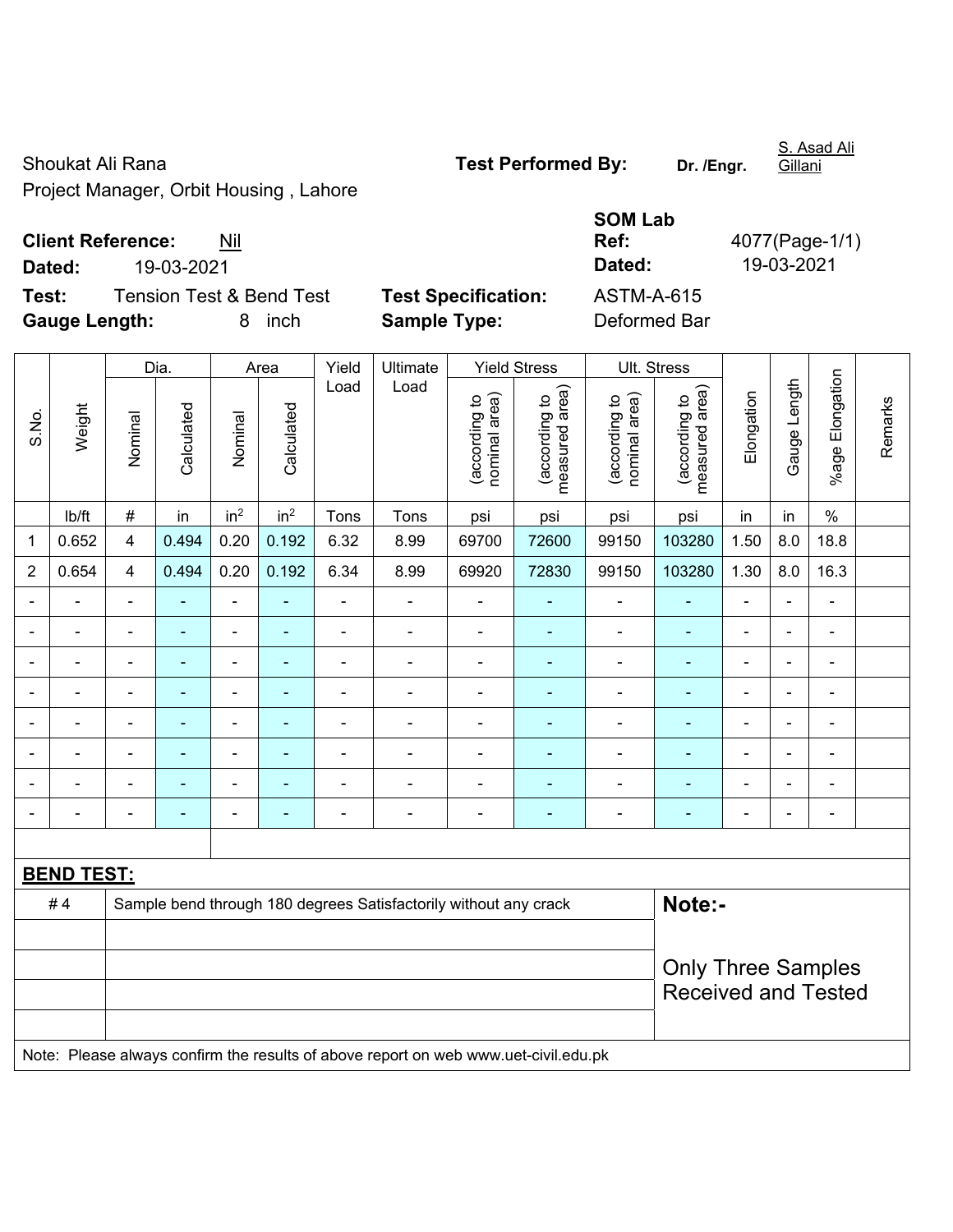Shoukat Ali Rana **Test Performed By:** Dr. /Engr. Project Manager, Orbit Housing , Lahore

**Client Reference:** Nil

**Dated:** 19-03-2021 **Dated:** 19-03-2021

**Test:** Tension Test & Bend Test **Test Specification:** ASTM-A-615 **Gauge Length:** 8 inch **Sample Type:** Deformed Bar

|                |                                                                        |                          | Dia.           |                          | Area                     | Yield                        | Ultimate                 |                                | <b>Yield Stress</b>             |                                | Ult. Stress                        |                              |                |                           |         |
|----------------|------------------------------------------------------------------------|--------------------------|----------------|--------------------------|--------------------------|------------------------------|--------------------------|--------------------------------|---------------------------------|--------------------------------|------------------------------------|------------------------------|----------------|---------------------------|---------|
| S.No.          | Weight                                                                 | Nominal                  | Calculated     | Nominal                  | Calculated               | Load                         | Load                     | nominal area)<br>(according to | measured area)<br>(according to | (according to<br>nominal area) | area)<br>(according to<br>measured | Elongation                   | Gauge Length   | Elongation<br>$%$ age $ $ | Remarks |
|                | lb/ft                                                                  | $\#$                     | in             | in <sup>2</sup>          | in <sup>2</sup>          | Tons                         | Tons                     | psi                            | psi                             | psi                            | psi                                | in                           | in             | $\%$                      |         |
| 1              | 0.652                                                                  | $\overline{\mathbf{4}}$  | 0.494          | 0.20                     | 0.192                    | 6.32                         | 8.99                     | 69700                          | 72600                           | 99150                          | 103280                             | 1.50                         | 8.0            | 18.8                      |         |
| $\overline{2}$ | 0.654                                                                  | $\overline{\mathbf{4}}$  | 0.494          | 0.20                     | 0.192                    | 6.34                         | 8.99                     | 69920                          | 72830                           | 99150                          | 103280                             | 1.30                         | 8.0            | 16.3                      |         |
| $\blacksquare$ |                                                                        | $\blacksquare$           | $\blacksquare$ | $\blacksquare$           | ٠                        | $\blacksquare$               | $\blacksquare$           | $\blacksquare$                 |                                 |                                |                                    | $\blacksquare$               | $\blacksquare$ | $\blacksquare$            |         |
| $\blacksquare$ |                                                                        | $\overline{\phantom{0}}$ | $\blacksquare$ | $\blacksquare$           | $\overline{\phantom{a}}$ | $\blacksquare$               | $\overline{\phantom{0}}$ | $\blacksquare$                 | ۰                               | $\blacksquare$                 | ٠                                  | $\blacksquare$               | $\blacksquare$ | $\overline{\phantom{0}}$  |         |
| $\overline{a}$ |                                                                        | $\blacksquare$           | $\blacksquare$ | $\overline{a}$           | ۰                        | $\qquad \qquad \blacksquare$ | $\overline{\phantom{0}}$ | $\blacksquare$                 |                                 |                                |                                    | ۰                            | $\blacksquare$ | $\overline{\phantom{0}}$  |         |
|                |                                                                        | $\blacksquare$           |                | $\blacksquare$           |                          | $\blacksquare$               |                          |                                |                                 |                                |                                    | $\blacksquare$               |                |                           |         |
|                |                                                                        | $\overline{\phantom{0}}$ |                | $\blacksquare$           |                          | $\blacksquare$               |                          |                                |                                 |                                |                                    | ٠                            | $\blacksquare$ |                           |         |
| $\blacksquare$ |                                                                        | $\overline{\phantom{0}}$ | $\blacksquare$ | $\blacksquare$           |                          | $\blacksquare$               | $\blacksquare$           | $\blacksquare$                 |                                 |                                | ٠                                  | ÷                            | $\blacksquare$ | $\blacksquare$            |         |
|                |                                                                        |                          |                | $\blacksquare$           |                          | $\blacksquare$               |                          |                                |                                 |                                |                                    | ۳                            |                |                           |         |
| $\blacksquare$ |                                                                        | $\overline{\phantom{0}}$ |                | $\overline{\phantom{0}}$ | ٠                        | $\qquad \qquad \blacksquare$ | $\overline{\phantom{0}}$ | $\overline{\phantom{0}}$       |                                 | $\blacksquare$                 |                                    | $\qquad \qquad \blacksquare$ | $\blacksquare$ | $\blacksquare$            |         |
|                |                                                                        |                          |                |                          |                          |                              |                          |                                |                                 |                                |                                    |                              |                |                           |         |
|                | <b>BEND TEST:</b>                                                      |                          |                |                          |                          |                              |                          |                                |                                 |                                |                                    |                              |                |                           |         |
|                | #4<br>Sample bend through 180 degrees Satisfactorily without any crack |                          |                |                          |                          |                              |                          |                                |                                 |                                | Note:-                             |                              |                |                           |         |
|                |                                                                        |                          |                |                          |                          |                              |                          |                                |                                 |                                |                                    |                              |                |                           |         |
|                |                                                                        |                          |                |                          |                          |                              |                          |                                |                                 |                                | <b>Only Three Samples</b>          |                              |                |                           |         |
|                |                                                                        |                          |                |                          |                          |                              |                          |                                |                                 |                                | <b>Received and Tested</b>         |                              |                |                           |         |

Note: Please always confirm the results of above report on web www.uet-civil.edu.pk

S. Asad Ali Gillani

**SOM Lab** 

**Ref:** 4077(Page-1/1)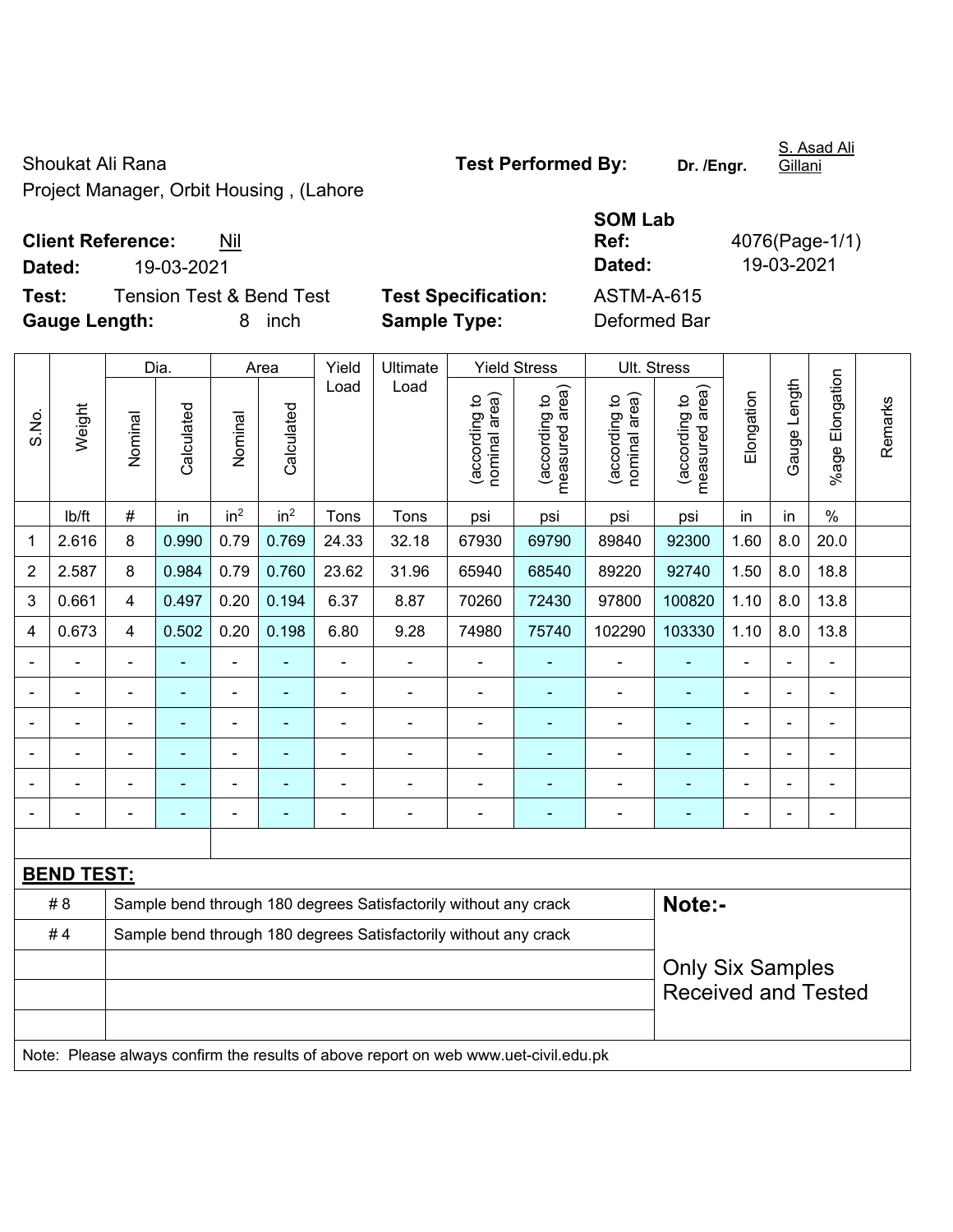Shoukat Ali Rana **Test Performed By: Dr. /Engr.**  Project Manager, Orbit Housing , (Lahore

**Client Reference:** Nil

**BEND TEST:** 

**Dated:** 19-03-2021 **Dated:** 19-03-2021 **Test:** Tension Test & Bend Test **Test Specification:** ASTM-A-615 **Gauge Length:** 8 inch **Sample Type:** Deformed Bar Dia. | Area | Yield | Ultimate | Yield Stress | Ult. Stress Gauge Length Load Load Gauge Length (according to<br>measured area) measured area) (according to<br>measured area) measured area) (according to<br>nominal area) (according to<br>nominal area) nominal area) nominal area) Elongation Elongation (according to (according to (according to (according to Weight **Calculated Calculated** Calculated Calculated S.No. Nominal Nominal Nominal Nominal

| lb/ft | # | in | in<sup>2</sup> | in<sup>2</sup> | Tons | Tons | psi | psi | psi | psi | in | in | % 1 | 2.616 | 8 | 0.990 | 0.79 | 0.769 | 24.33 | 32.18 | 67930 | 69790 | 89840 | 92300 | 1.60 | 8.0 | 20.0 2 | 2.587 | 8 | 0.984 | 0.79 | 0.760 | 23.62 | 31.96 | 65940 | 68540 | 89220 | 92740 | 1.50 | 8.0 | 18.8 3 | 0.661 | 4 | 0.497 | 0.20 | 0.194 | 6.37 | 8.87 | 70260 | 72430 | 97800 | 100820 | 1.10 | 8.0 | 13.8 4 | 0.673 | 4 | 0.502 | 0.20 | 0.198 | 6.80 | 9.28 | 74980 | 75740 | 102290 | 103330 | 1.10 | 8.0 | 13.8 - - - - - - - - - - - - - - - - - - - - - - - - - - - - - - - - - - - - - - - - - - - - - - - - - - - - - - - - - - - - - - - - - - - - - - - - - - -

S. Asad Ali

**Ref:** 4076(Page-1/1)

- - - - - - - - - - - - - - - # 8 Sample bend through 180 degrees Satisfactorily without any crack **Note:-**

Only Six Samples Received and Tested

Note: Please always confirm the results of above report on web www.uet-civil.edu.pk

#4 Sample bend through 180 degrees Satisfactorily without any crack

**SOM Lab** 

Gillani

%age Elongation

%age Elongation

Remarks

Remarks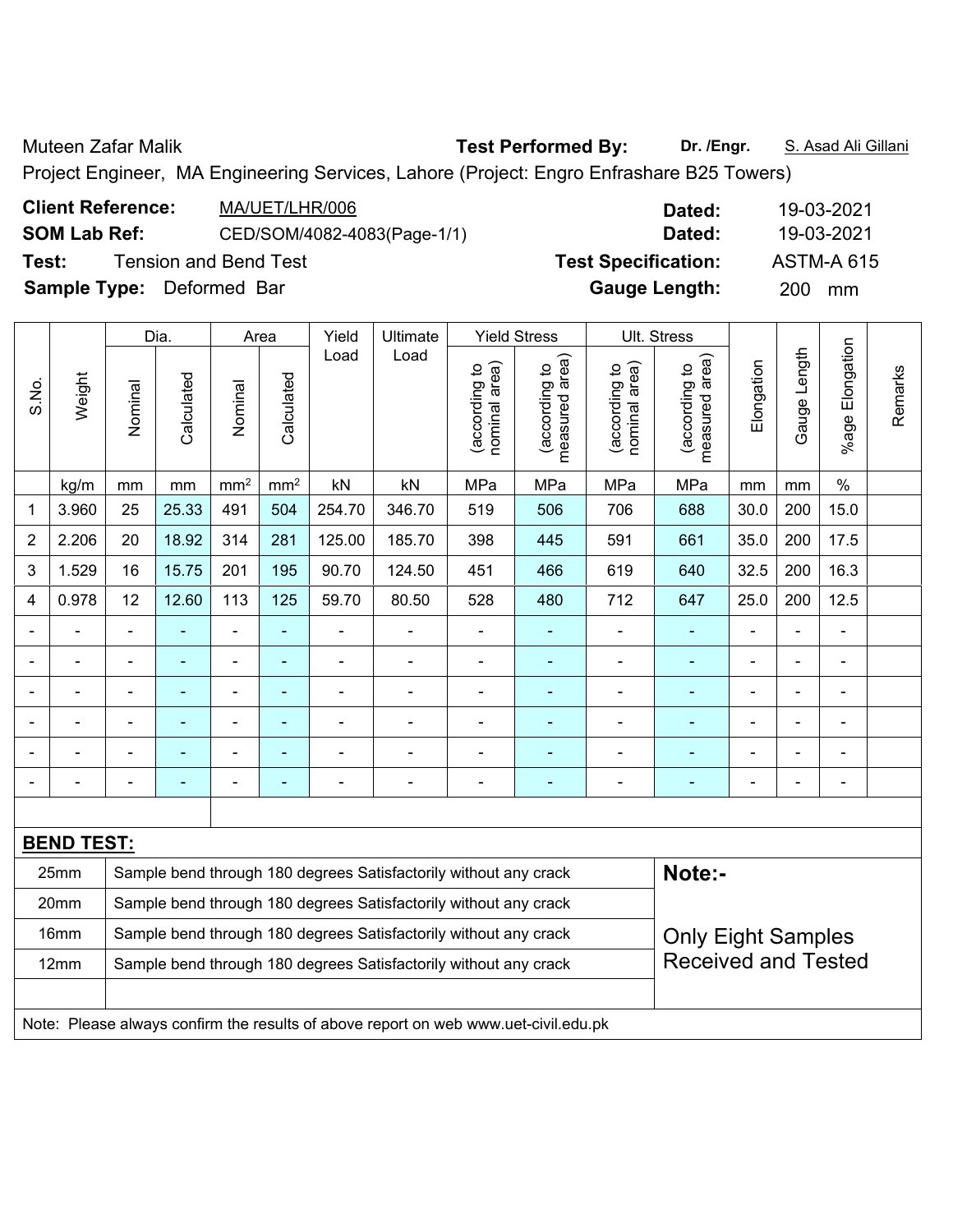Muteen Zafar Malik **Test Performed By:** Dr. /Engr. **S. Asad Ali Gillani** 

Project Engineer, MA Engineering Services, Lahore (Project: Engro Enfrashare B25 Towers)

| <b>Client Reference:</b>         | MA/UET/LHR/006               | Dated:                     | 19-03-2021        |
|----------------------------------|------------------------------|----------------------------|-------------------|
| <b>SOM Lab Ref:</b>              | CED/SOM/4082-4083(Page-1/1)  | Dated:                     | 19-03-2021        |
| Test:                            | <b>Tension and Bend Test</b> | <b>Test Specification:</b> | <b>ASTM-A 615</b> |
| <b>Sample Type:</b> Deformed Bar |                              | <b>Gauge Length:</b>       | <b>200</b><br>mm  |

|                |                                                                                     |                                                                  | Dia.           |                 | Area            | Yield          | Ultimate                                                         |                                | <b>Yield Stress</b>             |                                | Ult. Stress                     |                |                |                           |         |
|----------------|-------------------------------------------------------------------------------------|------------------------------------------------------------------|----------------|-----------------|-----------------|----------------|------------------------------------------------------------------|--------------------------------|---------------------------------|--------------------------------|---------------------------------|----------------|----------------|---------------------------|---------|
| S.No.          | Weight                                                                              | Nominal                                                          | Calculated     | Nominal         | Calculated      | Load           | Load                                                             | nominal area)<br>(according to | measured area)<br>(according to | nominal area)<br>(according to | measured area)<br>(according to | Elongation     | Gauge Length   | Elongation<br>$%$ age $I$ | Remarks |
|                | kg/m                                                                                | mm                                                               | mm             | mm <sup>2</sup> | mm <sup>2</sup> | kN             | kN                                                               | MPa                            | MPa                             | MPa                            | MPa                             | mm             | mm             | $\frac{0}{0}$             |         |
| 1              | 3.960                                                                               | 25                                                               | 25.33          | 491             | 504             | 254.70         | 346.70                                                           | 519                            | 506                             | 706                            | 688                             | 30.0           | 200            | 15.0                      |         |
| $\overline{2}$ | 2.206                                                                               | 20                                                               | 18.92          | 314             | 281             | 125.00         | 185.70                                                           | 398                            | 445                             | 591                            | 661                             | 35.0           | 200            | 17.5                      |         |
| 3              | 1.529                                                                               | 16                                                               | 15.75          | 201             | 195             | 90.70          | 124.50                                                           | 451                            | 466                             | 619                            | 640                             | 32.5           | 200            | 16.3                      |         |
| 4              | 0.978                                                                               | 12                                                               | 12.60          | 113             | 125             | 59.70          | 80.50                                                            | 528                            | 480                             | 712                            | 647                             | 25.0           | 200            | 12.5                      |         |
|                |                                                                                     | $\blacksquare$                                                   |                | $\blacksquare$  | ä,              | $\blacksquare$ | $\blacksquare$                                                   | $\blacksquare$                 | ۰                               | $\blacksquare$                 | $\blacksquare$                  | $\blacksquare$ | $\blacksquare$ | $\blacksquare$            |         |
|                |                                                                                     | $\blacksquare$                                                   | $\blacksquare$ | ÷               | $\blacksquare$  | $\blacksquare$ | $\blacksquare$                                                   | $\blacksquare$                 | ۰                               | ÷,                             | $\blacksquare$                  | $\blacksquare$ | $\blacksquare$ | $\blacksquare$            |         |
|                |                                                                                     | $\blacksquare$                                                   | ä,             | ÷               | $\blacksquare$  | $\blacksquare$ | $\blacksquare$                                                   | $\blacksquare$                 | ۰                               | ä,                             | $\blacksquare$                  | $\blacksquare$ | $\blacksquare$ | $\blacksquare$            |         |
|                |                                                                                     | $\blacksquare$                                                   | $\blacksquare$ | ÷               | ä,              | $\blacksquare$ | ٠                                                                | L,                             | ۰                               |                                |                                 |                | $\blacksquare$ | $\blacksquare$            |         |
|                |                                                                                     |                                                                  |                |                 |                 |                |                                                                  |                                | ۰                               |                                | $\blacksquare$                  |                |                |                           |         |
|                |                                                                                     |                                                                  |                |                 |                 |                |                                                                  |                                | -                               |                                |                                 | $\blacksquare$ |                | $\blacksquare$            |         |
|                |                                                                                     |                                                                  |                |                 |                 |                |                                                                  |                                |                                 |                                |                                 |                |                |                           |         |
|                | <b>BEND TEST:</b>                                                                   |                                                                  |                |                 |                 |                |                                                                  |                                |                                 |                                |                                 |                |                |                           |         |
|                | 25mm                                                                                |                                                                  |                |                 |                 |                | Sample bend through 180 degrees Satisfactorily without any crack |                                |                                 |                                | Note:-                          |                |                |                           |         |
|                | 20mm                                                                                | Sample bend through 180 degrees Satisfactorily without any crack |                |                 |                 |                |                                                                  |                                |                                 |                                |                                 |                |                |                           |         |
|                | 16mm                                                                                |                                                                  |                |                 |                 |                | Sample bend through 180 degrees Satisfactorily without any crack |                                |                                 |                                | <b>Only Eight Samples</b>       |                |                |                           |         |
|                | 12mm                                                                                |                                                                  |                |                 |                 |                | Sample bend through 180 degrees Satisfactorily without any crack |                                |                                 |                                | <b>Received and Tested</b>      |                |                |                           |         |
|                |                                                                                     |                                                                  |                |                 |                 |                |                                                                  |                                |                                 |                                |                                 |                |                |                           |         |
|                | Note: Please always confirm the results of above report on web www.uet-civil.edu.pk |                                                                  |                |                 |                 |                |                                                                  |                                |                                 |                                |                                 |                |                |                           |         |